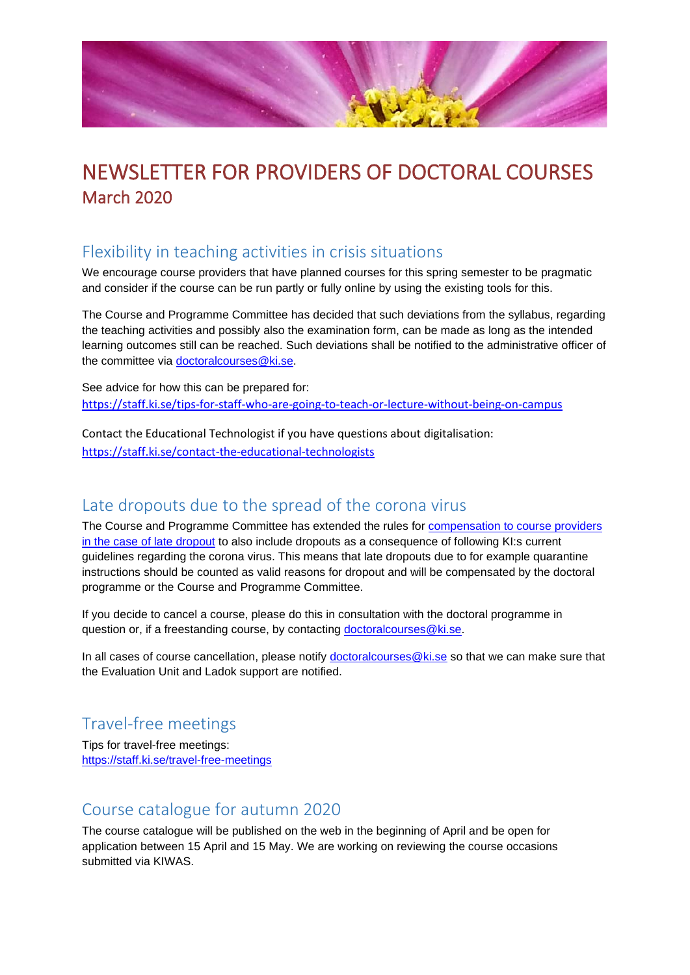

# NEWSLETTER FOR PROVIDERS OF DOCTORAL COURSES March 2020

### Flexibility in teaching activities in crisis situations

We encourage course providers that have planned courses for this spring semester to be pragmatic and consider if the course can be run partly or fully online by using the existing tools for this.

The Course and Programme Committee has decided that such deviations from the syllabus, regarding the teaching activities and possibly also the examination form, can be made as long as the intended learning outcomes still can be reached. Such deviations shall be notified to the administrative officer of the committee via [doctoralcourses@ki.se.](mailto:doctoralcourses@ki.se) 

See advice for how this can be prepared for: <https://staff.ki.se/tips-for-staff-who-are-going-to-teach-or-lecture-without-being-on-campus>

Contact the Educational Technologist if you have questions about digitalisation: <https://staff.ki.se/contact-the-educational-technologists>

#### Late dropouts due to the spread of the corona virus

The Course and Programme Committee has extended the rules for [compensation to course providers](https://staff.ki.se/student-cancellations-late-dropouts-and-course-cancellation)  [in the case of late dropout](https://staff.ki.se/student-cancellations-late-dropouts-and-course-cancellation) to also include dropouts as a consequence of following KI:s current guidelines regarding the corona virus. This means that late dropouts due to for example quarantine instructions should be counted as valid reasons for dropout and will be compensated by the doctoral programme or the Course and Programme Committee.

If you decide to cancel a course, please do this in consultation with the doctoral programme in question or, if a freestanding course, by contacting [doctoralcourses@ki.se.](mailto:doctoralcourses@ki.se)

In all cases of course cancellation, please notify [doctoralcourses@ki.se](mailto:dorctoralcourses@ki.se) so that we can make sure that the Evaluation Unit and Ladok support are notified.

### Travel-free meetings

Tips for travel-free meetings: <https://staff.ki.se/travel-free-meetings>

#### Course catalogue for autumn 2020

The course catalogue will be published on the web in the beginning of April and be open for application between 15 April and 15 May. We are working on reviewing the course occasions submitted via KIWAS.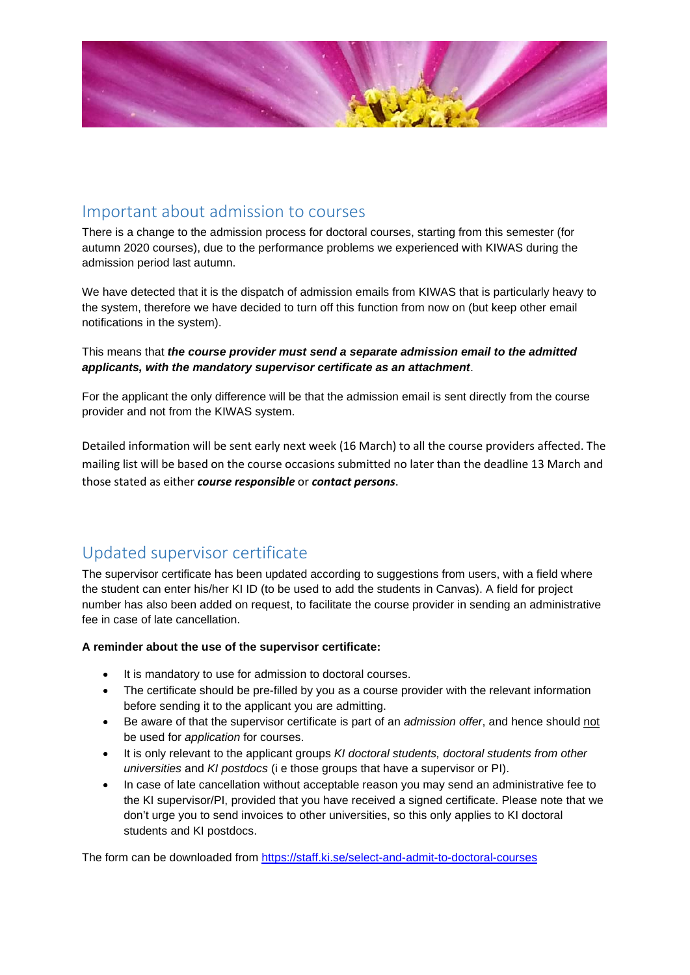

### Important about admission to courses

There is a change to the admission process for doctoral courses, starting from this semester (for autumn 2020 courses), due to the performance problems we experienced with KIWAS during the admission period last autumn.

We have detected that it is the dispatch of admission emails from KIWAS that is particularly heavy to the system, therefore we have decided to turn off this function from now on (but keep other email notifications in the system).

This means that *the course provider must send a separate admission email to the admitted applicants, with the mandatory supervisor certificate as an attachment*.

For the applicant the only difference will be that the admission email is sent directly from the course provider and not from the KIWAS system.

Detailed information will be sent early next week (16 March) to all the course providers affected. The mailing list will be based on the course occasions submitted no later than the deadline 13 March and those stated as either *course responsible* or *contact persons*.

### Updated supervisor certificate

The supervisor certificate has been updated according to suggestions from users, with a field where the student can enter his/her KI ID (to be used to add the students in Canvas). A field for project number has also been added on request, to facilitate the course provider in sending an administrative fee in case of late cancellation.

#### **A reminder about the use of the supervisor certificate:**

- It is mandatory to use for admission to doctoral courses.
- The certificate should be pre-filled by you as a course provider with the relevant information before sending it to the applicant you are admitting.
- Be aware of that the supervisor certificate is part of an *admission offer*, and hence should not be used for *application* for courses.
- It is only relevant to the applicant groups *KI doctoral students, doctoral students from other universities* and *KI postdocs* (i e those groups that have a supervisor or PI).
- In case of late cancellation without acceptable reason you may send an administrative fee to the KI supervisor/PI, provided that you have received a signed certificate. Please note that we don't urge you to send invoices to other universities, so this only applies to KI doctoral students and KI postdocs.

The form can be downloaded from<https://staff.ki.se/select-and-admit-to-doctoral-courses>